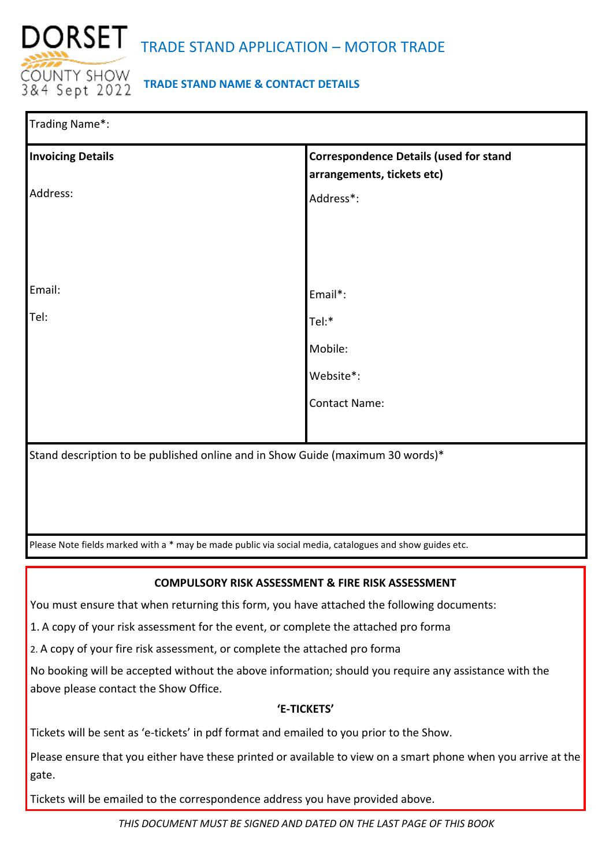

# **TRADE STAND NAME & CONTACT DETAILS**

| Trading Name*:                                                                                          |                                                                             |  |  |
|---------------------------------------------------------------------------------------------------------|-----------------------------------------------------------------------------|--|--|
| <b>Invoicing Details</b>                                                                                | <b>Correspondence Details (used for stand</b><br>arrangements, tickets etc) |  |  |
| Address:                                                                                                | Address*:                                                                   |  |  |
|                                                                                                         |                                                                             |  |  |
|                                                                                                         |                                                                             |  |  |
| Email:                                                                                                  | Email*:                                                                     |  |  |
| Tel:                                                                                                    | Tel:*                                                                       |  |  |
|                                                                                                         | Mobile:                                                                     |  |  |
|                                                                                                         | Website*:                                                                   |  |  |
|                                                                                                         | <b>Contact Name:</b>                                                        |  |  |
|                                                                                                         |                                                                             |  |  |
| Stand description to be published online and in Show Guide (maximum 30 words)*                          |                                                                             |  |  |
|                                                                                                         |                                                                             |  |  |
|                                                                                                         |                                                                             |  |  |
| Please Note fields marked with a * may be made public via social media, catalogues and show guides etc. |                                                                             |  |  |

## **COMPULSORY RISK ASSESSMENT & FIRE RISK ASSESSMENT**

You must ensure that when returning this form, you have attached the following documents:

1. A copy of your risk assessment for the event, or complete the attached pro forma

2. A copy of your fire risk assessment, or complete the attached pro forma

No booking will be accepted without the above information; should you require any assistance with the above please contact the Show Office.

## **'E-TICKETS'**

Tickets will be sent as 'e-tickets' in pdf format and emailed to you prior to the Show.

Please ensure that you either have these printed or available to view on a smart phone when you arrive at the gate.

Tickets will be emailed to the correspondence address you have provided above.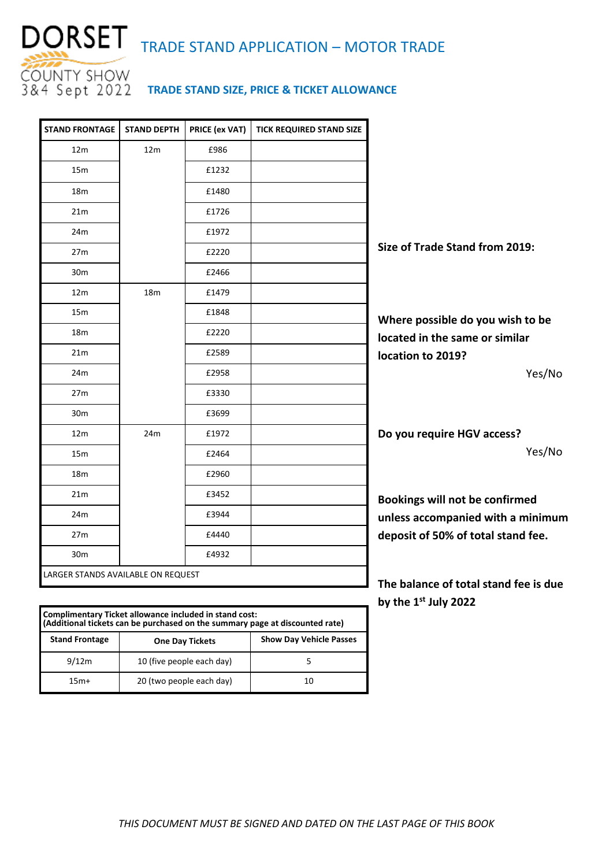

| <b>STAND FRONTAGE</b>                                  | <b>STAND DEPTH</b> | PRICE (ex VAT) | <b>TICK REQUIRED STAND SIZE</b> |                                       |
|--------------------------------------------------------|--------------------|----------------|---------------------------------|---------------------------------------|
| 12 <sub>m</sub>                                        | 12 <sub>m</sub>    | £986           |                                 |                                       |
| 15 <sub>m</sub>                                        |                    | £1232          |                                 |                                       |
| 18 <sub>m</sub>                                        |                    | £1480          |                                 |                                       |
| 21 <sub>m</sub>                                        |                    | £1726          |                                 |                                       |
| 24m                                                    |                    | £1972          |                                 |                                       |
| 27m                                                    |                    | £2220          |                                 | Size of Trade Stand from 2019:        |
| 30 <sub>m</sub>                                        |                    | £2466          |                                 |                                       |
| 12m                                                    | 18m                | £1479          |                                 |                                       |
| 15m                                                    |                    | £1848          |                                 | Where possible do you wish to be      |
| 18 <sub>m</sub>                                        |                    | £2220          |                                 | located in the same or similar        |
| 21 <sub>m</sub>                                        |                    | £2589          |                                 | location to 2019?                     |
| 24m                                                    |                    | £2958          |                                 | Yes/No                                |
| 27m                                                    |                    | £3330          |                                 |                                       |
| 30 <sub>m</sub>                                        |                    | £3699          |                                 |                                       |
| 12 <sub>m</sub>                                        | 24m                | £1972          |                                 | Do you require HGV access?            |
| 15 <sub>m</sub>                                        |                    | £2464          |                                 | Yes/No                                |
| 18m                                                    |                    | £2960          |                                 |                                       |
| 21 <sub>m</sub>                                        |                    | £3452          |                                 | Bookings will not be confirmed        |
| 24m                                                    |                    | £3944          |                                 | unless accompanied with a minimum     |
| 27m                                                    |                    | £4440          |                                 | deposit of 50% of total stand fee.    |
| 30 <sub>m</sub>                                        |                    | £4932          |                                 |                                       |
| LARGER STANDS AVAILABLE ON REQUEST                     |                    |                |                                 | The balance of total stand fee is due |
|                                                        |                    |                |                                 | by the 1 <sup>st</sup> July 2022      |
| Complimentary Ticket allowance included in stand cost: |                    |                |                                 |                                       |

| Complimentary Ticket allowance included in stand cost:<br>(Additional tickets can be purchased on the summary page at discounted rate) |                           |                                |  |
|----------------------------------------------------------------------------------------------------------------------------------------|---------------------------|--------------------------------|--|
| <b>Stand Frontage</b>                                                                                                                  | <b>One Day Tickets</b>    | <b>Show Day Vehicle Passes</b> |  |
| 9/12m                                                                                                                                  | 10 (five people each day) |                                |  |
| $15m+$                                                                                                                                 | 20 (two people each day)  | 10                             |  |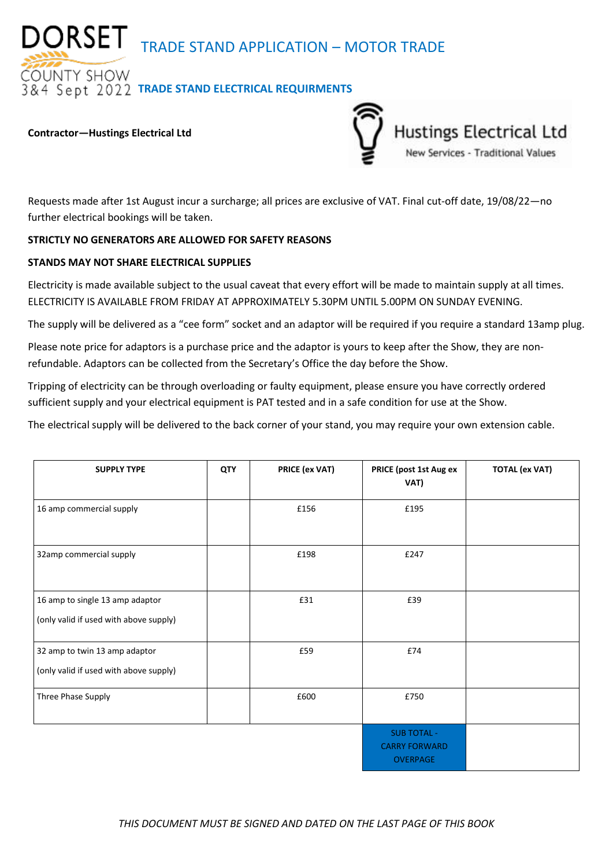DORSET TRADE STAND APPLICATION – MOTOR TRADE

**OUNTY SHOW** *RA Sept 2022 TRADE STAND ELECTRICAL REQUIRMENTS* 

### **Contractor—Hustings Electrical Ltd**



Requests made after 1st August incur a surcharge; all prices are exclusive of VAT. Final cut-off date, 19/08/22—no further electrical bookings will be taken.

### **STRICTLY NO GENERATORS ARE ALLOWED FOR SAFETY REASONS**

### **STANDS MAY NOT SHARE ELECTRICAL SUPPLIES**

Electricity is made available subject to the usual caveat that every effort will be made to maintain supply at all times. ELECTRICITY IS AVAILABLE FROM FRIDAY AT APPROXIMATELY 5.30PM UNTIL 5.00PM ON SUNDAY EVENING.

The supply will be delivered as a "cee form" socket and an adaptor will be required if you require a standard 13amp plug.

Please note price for adaptors is a purchase price and the adaptor is yours to keep after the Show, they are nonrefundable. Adaptors can be collected from the Secretary's Office the day before the Show.

Tripping of electricity can be through overloading or faulty equipment, please ensure you have correctly ordered sufficient supply and your electrical equipment is PAT tested and in a safe condition for use at the Show.

The electrical supply will be delivered to the back corner of your stand, you may require your own extension cable.

| <b>SUPPLY TYPE</b>                                                        | QTY | PRICE (ex VAT) | PRICE (post 1st Aug ex<br>VAT)                                | <b>TOTAL (ex VAT)</b> |
|---------------------------------------------------------------------------|-----|----------------|---------------------------------------------------------------|-----------------------|
| 16 amp commercial supply                                                  |     | £156           | £195                                                          |                       |
| 32amp commercial supply                                                   |     | £198           | £247                                                          |                       |
| 16 amp to single 13 amp adaptor<br>(only valid if used with above supply) |     | £31            | £39                                                           |                       |
| 32 amp to twin 13 amp adaptor<br>(only valid if used with above supply)   |     | £59            | £74                                                           |                       |
| Three Phase Supply                                                        |     | £600           | £750                                                          |                       |
|                                                                           |     |                | <b>SUB TOTAL -</b><br><b>CARRY FORWARD</b><br><b>OVERPAGE</b> |                       |